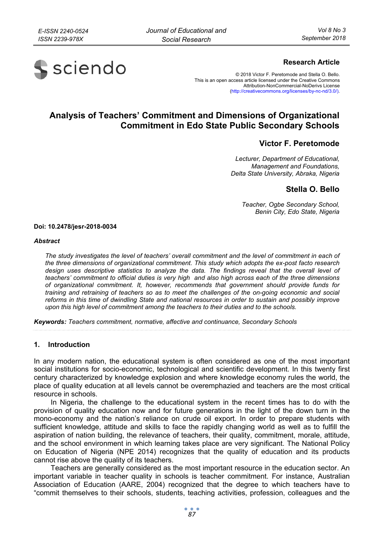

# **Research Article**

© 2018 Victor F. Peretomode and Stella O. Bello. This is an open access article licensed under the Creative Commons Attribution-NonCommercial-NoDerivs License (http://creativecommons.org/licenses/by-nc-nd/3.0/).

# **Analysis of Teachers' Commitment and Dimensions of Organizational Commitment in Edo State Public Secondary Schools**

# **Victor F. Peretomode**

*Lecturer, Department of Educational, Management and Foundations, Delta State University, Abraka, Nigeria* 

# **Stella O. Bello**

*Teacher, Ogbe Secondary School, Benin City, Edo State, Nigeria* 

#### **Doi: 10.2478/jesr-2018-0034**

#### *Abstract*

*The study investigates the level of teachers' overall commitment and the level of commitment in each of the three dimensions of organizational commitment. This study which adopts the ex-post facto research design uses descriptive statistics to analyze the data. The findings reveal that the overall level of teachers' commitment to official duties is very high and also high across each of the three dimensions of organizational commitment. It, however, recommends that government should provide funds for training and retraining of teachers so as to meet the challenges of the on-going economic and social reforms in this time of dwindling State and national resources in order to sustain and possibly improve upon this high level of commitment among the teachers to their duties and to the schools.* 

*Keywords: Teachers commitment, normative, affective and continuance, Secondary Schools* 

#### **1. Introduction**

In any modern nation, the educational system is often considered as one of the most important social institutions for socio-economic, technological and scientific development. In this twenty first century characterized by knowledge explosion and where knowledge economy rules the world, the place of quality education at all levels cannot be overemphazied and teachers are the most critical resource in schools.

In Nigeria, the challenge to the educational system in the recent times has to do with the provision of quality education now and for future generations in the light of the down turn in the mono-economy and the nation's reliance on crude oil export. In order to prepare students with sufficient knowledge, attitude and skills to face the rapidly changing world as well as to fulfill the aspiration of nation building, the relevance of teachers, their quality, commitment, morale, attitude, and the school environment in which learning takes place are very significant. The National Policy on Education of Nigeria (NPE 2014) recognizes that the quality of education and its products cannot rise above the quality of its teachers.

Teachers are generally considered as the most important resource in the education sector. An important variable in teacher quality in schools is teacher commitment. For instance, Australian Association of Education (AARE, 2004) recognized that the degree to which teachers have to "commit themselves to their schools, students, teaching activities, profession, colleagues and the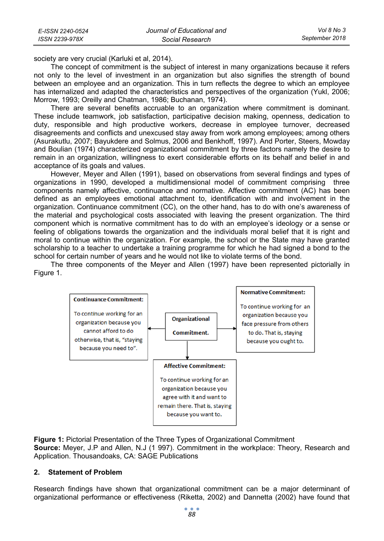| E-ISSN 2240-0524 | Journal of Educational and | Vol 8 No 3     |
|------------------|----------------------------|----------------|
| ISSN 2239-978X   | Social Research            | September 2018 |

society are very crucial (Karluki et al, 2014).

The concept of commitment is the subject of interest in many organizations because it refers not only to the level of investment in an organization but also signifies the strength of bound between an employee and an organization. This in turn reflects the degree to which an employee has internalized and adapted the characteristics and perspectives of the organization (Yukl, 2006; Morrow, 1993; Oreilly and Chatman, 1986; Buchanan, 1974).

There are several benefits accruable to an organization where commitment is dominant. These include teamwork, job satisfaction, participative decision making, openness, dedication to duty, responsible and high productive workers, decrease in employee turnover, decreased disagreements and conflicts and unexcused stay away from work among employees; among others (Asurakutlu, 2007; Bayukdere and Solmus, 2006 and Benkhoff, 1997). And Porter, Steers, Mowday and Boulian (1974) characterized organizational commitment by three factors namely the desire to remain in an organization, willingness to exert considerable efforts on its behalf and belief in and acceptance of its goals and values.

However, Meyer and Allen (1991), based on observations from several findings and types of organizations in 1990, developed a multidimensional model of commitment comprising three components namely affective, continuance and normative. Affective commitment (AC) has been defined as an employees emotional attachment to, identification with and involvement in the organization. Continuance commitment (CC), on the other hand, has to do with one's awareness of the material and psychological costs associated with leaving the present organization. The third component which is normative commitment has to do with an employee's ideology or a sense or feeling of obligations towards the organization and the individuals moral belief that it is right and moral to continue within the organization. For example, the school or the State may have granted scholarship to a teacher to undertake a training programme for which he had signed a bond to the school for certain number of years and he would not like to violate terms of the bond.

The three components of the Meyer and Allen (1997) have been represented pictorially in Figure 1.



**Figure 1:** Pictorial Presentation of the Three Types of Organizational Commitment

**Source:** Meyer, J.P and Allen, N.J (1 997). Commitment in the workplace: Theory, Research and Application. Thousandoaks, CA: SAGE Publications

#### **2. Statement of Problem**

Research findings have shown that organizational commitment can be a major determinant of organizational performance or effectiveness (Riketta, 2002) and Dannetta (2002) have found that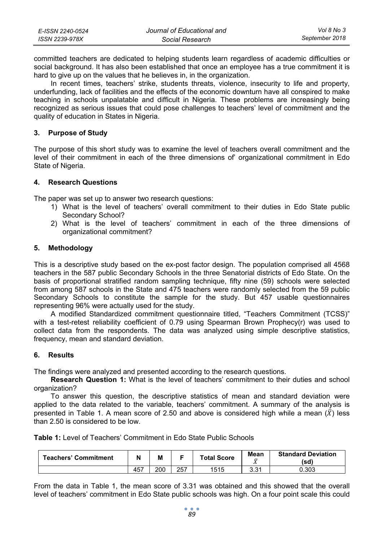| E-ISSN 2240-0524 | Journal of Educational and | Vol 8 No 3     |
|------------------|----------------------------|----------------|
| ISSN 2239-978X   | Social Research            | September 2018 |

committed teachers are dedicated to helping students learn regardless of academic difficulties or social background. It has also been established that once an employee has a true commitment it is hard to give up on the values that he believes in, in the organization.

In recent times, teachers' strike, students threats, violence, insecurity to life and property, underfunding, lack of facilities and the effects of the economic downturn have all conspired to make teaching in schools unpalatable and difficult in Nigeria. These problems are increasingly being recognized as serious issues that could pose challenges to teachers' level of commitment and the quality of education in States in Nigeria.

## **3. Purpose of Study**

The purpose of this short study was to examine the level of teachers overall commitment and the level of their commitment in each of the three dimensions of' organizational commitment in Edo State of Nigeria.

## **4. Research Questions**

The paper was set up to answer two research questions:

- 1) What is the level of teachers' overall commitment to their duties in Edo State public Secondary School?
- 2) What is the level of teachers' commitment in each of the three dimensions of organizational commitment?

## **5. Methodology**

This is a descriptive study based on the ex-post factor design. The population comprised all 4568 teachers in the 587 public Secondary Schools in the three Senatorial districts of Edo State. On the basis of proportional stratified random sampling technique, fifty nine (59) schools were selected from among 587 schools in the State and 475 teachers were randomly selected from the 59 public Secondary Schools to constitute the sample for the study. But 457 usable questionnaires representing 96% were actually used for the study.

A modified Standardized commitment questionnaire titled, "Teachers Commitment (TCSS)" with a test-retest reliability coefficient of 0.79 using Spearman Brown Prophecy(r) was used to collect data from the respondents. The data was analyzed using simple descriptive statistics, frequency, mean and standard deviation.

# **6. Results**

The findings were analyzed and presented according to the research questions.

**Research Question 1:** What is the level of teachers' commitment to their duties and school organization?

To answer this question, the descriptive statistics of mean and standard deviation were applied to the data related to the variable, teachers' commitment. A summary of the analysis is presented in Table 1. A mean score of 2.50 and above is considered high while a mean  $(\bar{X})$  less than 2.50 is considered to be low.

| Teachers' Commitment |     | М   |     | <b>Total Score</b> | Mean<br>$\overline{\phantom{a}}$ | <b>Standard Deviation</b><br>(sd) |
|----------------------|-----|-----|-----|--------------------|----------------------------------|-----------------------------------|
|                      | 457 | 200 | 257 | 1515               | າ າ າ<br>ا ن. ب                  | 0.303                             |

From the data in Table 1, the mean score of 3.31 was obtained and this showed that the overall level of teachers' commitment in Edo State public schools was high. On a four point scale this could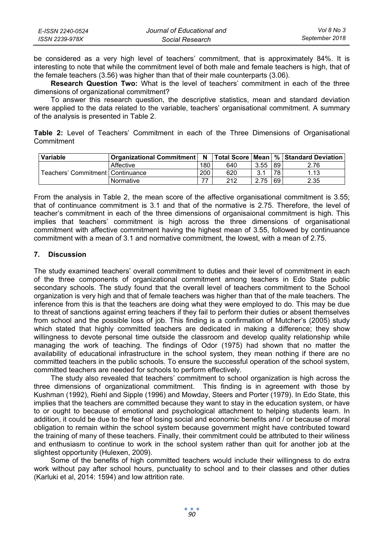| E-ISSN 2240-0524 | Journal of Educational and | Vol 8 No 3     |
|------------------|----------------------------|----------------|
| ISSN 2239-978X   | Social Research            | September 2018 |

be considered as a very high level of teachers' commitment, that is approximately 84%. It is interesting to note that while the commitment level of both male and female teachers is high, that of the female teachers (3.56) was higher than that of their male counterparts (3.06).

**Research Question Two:** What is the level of teachers' commitment in each of the three dimensions of organizational commitment?

To answer this research question, the descriptive statistics, mean and standard deviation were applied to the data related to the variable, teachers' organisational commitment. A summary of the analysis is presented in Table 2.

**Table 2:** Level of Teachers' Commitment in each of the Three Dimensions of Organisational Commitment

| Variable                           | <b>Organizational Commitment  </b> | N   |     |      |    | Total Score   Mean   %   Standard Deviation |
|------------------------------------|------------------------------------|-----|-----|------|----|---------------------------------------------|
|                                    | Affective                          | 180 | 640 | 3.55 | 89 | 2.76                                        |
| Teachers' Commitment   Continuance |                                    | 200 | 620 | 3.1  | 78 | 1.13                                        |
|                                    | Normative                          | 77  | 212 | 2.75 | 69 | 2.35                                        |

From the analysis in Table 2, the mean score of the affective organisational commitment is 3.55; that of continuance commitment is 3.1 and that of the normative is 2.75. Therefore, the level of teacher's commitment in each of the three dimensions of organisaional commitment is high. This implies that teachers' commitment is high across the three dimensions of organisational commitment with affective commitment having the highest mean of 3.55, followed by continuance commitment with a mean of 3.1 and normative commitment, the lowest, with a mean of 2.75.

## **7. Discussion**

The study examined teachers' overall commitment to duties and their level of commitment in each of the three components of organizational commitment among teachers in Edo State public secondary schools. The study found that the overall level of teachers commitment to the School organization is very high and that of female teachers was higher than that of the male teachers. The inference from this is that the teachers are doing what they were employed to do. This may be due to threat of sanctions against erring teachers if they fail to perform their duties or absent themselves from school and the possible loss of job. This finding is a confirmation of Mutcher's (2005) study which stated that highly committed teachers are dedicated in making a difference; they show willingness to devote personal time outside the classroom and develop quality relationship while managing the work of teaching. The findings of Odor (1975) had shown that no matter the availability of educational infrastructure in the school system, they mean nothing if there are no committed teachers in the public schools. To ensure the successful operation of the school system, committed teachers are needed for schools to perform effectively.

The study also revealed that teachers' commitment to school organization is high across the three dimensions of organizational commitment. This finding is in agreement with those by Kushman (1992), Riehl and Sipple (1996) and Mowday, Steers and Porter (1979). In Edo State, this implies that the teachers are committed because they want to stay in the education system, or have to or ought to because of emotional and psychological attachment to helping students learn. In addition, it could be due to the fear of losing social and economic benefits and / or because of moral obligation to remain within the school system because government might have contributed toward the training of many of these teachers. Finally, their commitment could be attributed to their wiliness and enthusiasm to continue to work in the school system rather than quit for another job at the slightest opportunity (Hulexen, 2009).

Some of the benefits of high committed teachers would include their willingness to do extra work without pay after school hours, punctuality to school and to their classes and other duties (Karluki et al, 2014: 1594) and low attrition rate.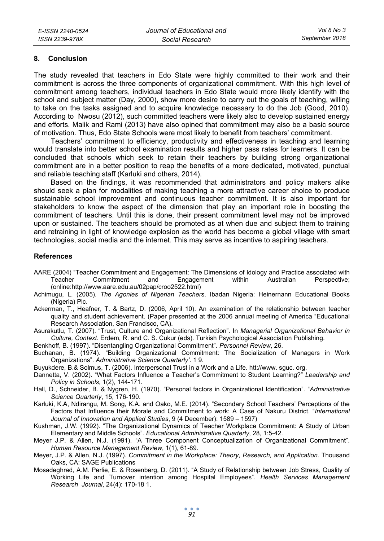## **8. Conclusion**

The study revealed that teachers in Edo State were highly committed to their work and their commitment is across the three components of organizational commitment. With this high level of commitment among teachers, individual teachers in Edo State would more likely identify with the school and subject matter (Day, 2000), show more desire to carry out the goals of teaching, willing to take on the tasks assigned and to acquire knowledge necessary to do the Job (Good, 2010). According to Nwosu (2012), such committed teachers were likely also to develop sustained energy and efforts. Malik and Rami (2013) have also opined that commitment may also be a basic source of motivation. Thus, Edo State Schools were most likely to benefit from teachers' commitment.

Teachers' commitment to efficiency, productivity and effectiveness in teaching and learning would translate into better school examination results and higher pass rates for learners. It can be concluded that schools which seek to retain their teachers by building strong organizational commitment are in a better position to reap the benefits of a more dedicated, motivated, punctual and reliable teaching staff (Karluki and others, 2014).

Based on the findings, it was recommended that administrators and policy makers alike should seek a plan for modalities of making teaching a more attractive career choice to produce sustainable school improvement and continuous teacher commitment. It is also important for stakeholders to know the aspect of the dimension that play an important role in boosting the commitment of teachers. Until this is done, their present commitment level may not be improved upon or sustained. The teachers should be promoted as at when due and subject them to training and retraining in light of knowledge explosion as the world has become a global village with smart technologies, social media and the internet. This may serve as incentive to aspiring teachers.

## **References**

- AARE (2004) "Teacher Commitment and Engagement: The Dimensions of Idology and Practice associated with Teacher Commitment and Engagement within Australian Perspective; (online:http://www.aare.edu.au/02pap/croo2522.html)
- Achimugu, L. (2005). *The Agonies of Nigerian Teachers*. Ibadan Nigeria: Heinernann Educational Books (Nigeria) Plc.
- Ackerman, T., Heafner, T. & Bartz, D. (2006, April 10). An examination of the relationship between teacher quality and student achievement. (Paper presented at the 2006 annual meeting of America "Educational Research Association, San Francisco, CA).

Asurakutlu, T. (2007). "Trust, Culture and Organizational Reflection". In *Managerial Organizational Behavior in Culture, Context*. Erdem, R. and C. S. Cukur (eds). Turkish Psychological Association Publishing.

Benkhoff, B. (1997). "Disentangling Organizational Commitment". *Personnel Review*, 26.

Buchanan, B. (1974). "Building Organizational Commitment: The Socialization of Managers in Work Organizations". *Administrative Science Quarterly'*. 1 9.

Buyukdere, B.& Solmus, T. (2006). Interpersonal Trust in a Work and a Life. htt://www. sguc. org.

- Dannetta, V. (2002). "What Factors Influence a Teacher's Commitment to Student Learning?" *Leadership and Policy in Schools*, 1(2), 144-171.
- Hall, D., Schneider, B. & Nygren, H. (1970). "Personal factors in Organizational Identification". "*Administrative Science Quarterly*, 15, 176-190.
- Karluki, K.A, Ndirangu, M. Song, K.A. and Oako, M.E. (2014). "Secondary School Teachers' Perceptions of the Factors that Influence their Morale and Commitment to work: A Case of Nakuru District. "*International Journal of Innovation and Applied Studies*, 9 (4 December): 1589 – 1597)
- Kushman, J.W. (1992). "The Organizational Dynamics of Teacher Workplace Commitment: A Study of Urban Elementary and Middle Schools". *Educational Administrative Quarterly*, 28, 1:5-42.
- Meyer J.P. & Allen, N.J. (1991). "A Three Component Conceptualization of Organizational Commitment". *Human Resource Management Review*, 1(1), 61-89.
- Meyer, J.P. & Allen, N.J. (1997). *Commitment in the Workplace: Theory, Research, and Application*. Thousand Oaks, CA: SAGE Publications
- Mosadeghrad, A.M. Perlie, E. & Rosenberg, D. (2011). "A Study of Relationship between Job Stress, Quality of Working Life and Turnover intention among Hospital Employees". *Health Services Management Research Journal*, 24(4): 170-18 1.